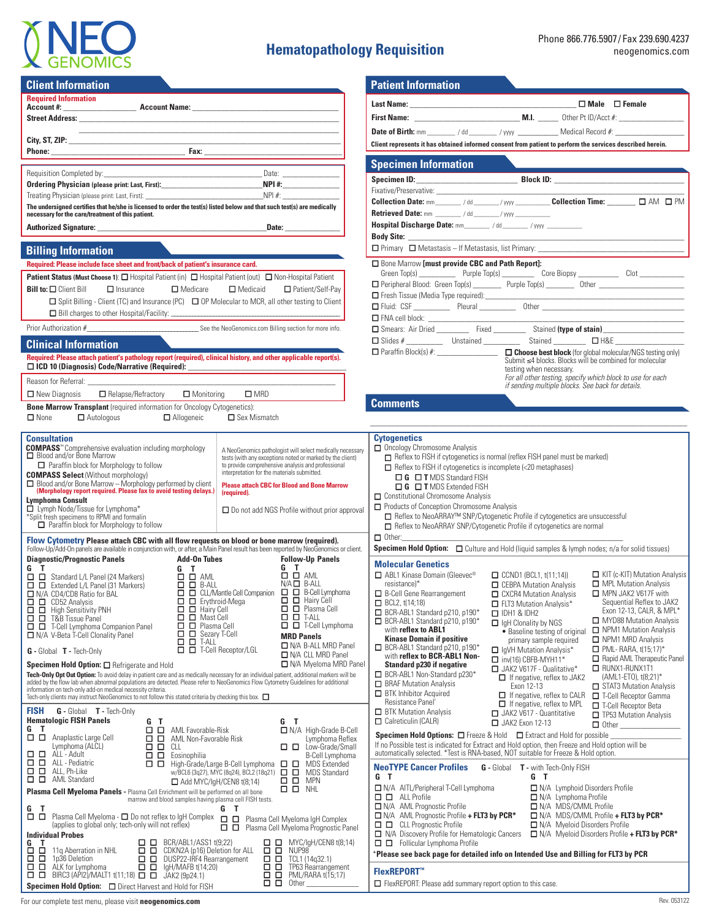

# **Hematopathology Requisition**

**Last Name:** \_\_\_\_\_\_\_\_\_\_\_\_\_\_\_\_\_\_\_\_\_\_\_\_\_\_\_\_\_\_\_\_\_\_\_\_\_\_\_\_\_ **□ Male □ Female**

| <b>Required Information</b>                                                                                                                                                                                                          |                                                                           |                                                                                                                                                                                                                                                                                 |                            |                                                                |
|--------------------------------------------------------------------------------------------------------------------------------------------------------------------------------------------------------------------------------------|---------------------------------------------------------------------------|---------------------------------------------------------------------------------------------------------------------------------------------------------------------------------------------------------------------------------------------------------------------------------|----------------------------|----------------------------------------------------------------|
|                                                                                                                                                                                                                                      |                                                                           |                                                                                                                                                                                                                                                                                 |                            |                                                                |
|                                                                                                                                                                                                                                      |                                                                           |                                                                                                                                                                                                                                                                                 |                            | First Name: ______________                                     |
|                                                                                                                                                                                                                                      |                                                                           |                                                                                                                                                                                                                                                                                 |                            | Date of Birth: mm ________ / dd                                |
|                                                                                                                                                                                                                                      |                                                                           |                                                                                                                                                                                                                                                                                 |                            | <b>Client represents it has obtained in</b>                    |
|                                                                                                                                                                                                                                      |                                                                           | <b>Phone:</b> <u>Fax:</u> Fax: <u>Fax:</u> Fax: <b>Fax:</b> Fax: <b>Fax: Fax: Fax: Fax: Fax: Fax: Fax: Fax: Fax: Fax: Fax: Fax: Fax: Fax: Fax: Fax: Fax: Fax: Fax: Fax: Fax: Fax: Fax: Fax: Fax: F</b>                                                                          |                            | <b>Specimen Informatio</b>                                     |
|                                                                                                                                                                                                                                      |                                                                           |                                                                                                                                                                                                                                                                                 |                            | Specimen ID:                                                   |
|                                                                                                                                                                                                                                      |                                                                           |                                                                                                                                                                                                                                                                                 |                            | Fixative/Preservative: _________                               |
|                                                                                                                                                                                                                                      |                                                                           | The undersigned certifies that he/she is licensed to order the test(s) listed below and that such test(s) are medically                                                                                                                                                         |                            | Collection Date: mm__________/                                 |
| necessary for the care/treatment of this patient.                                                                                                                                                                                    |                                                                           |                                                                                                                                                                                                                                                                                 |                            | Retrieved Date: mm _______ /                                   |
|                                                                                                                                                                                                                                      |                                                                           |                                                                                                                                                                                                                                                                                 |                            | <b>Hospital Discharge Date: mm_</b>                            |
|                                                                                                                                                                                                                                      |                                                                           |                                                                                                                                                                                                                                                                                 |                            | $\Box$ Primary $\Box$ Metastasis - If N                        |
| <b>Billing Information</b>                                                                                                                                                                                                           |                                                                           |                                                                                                                                                                                                                                                                                 |                            |                                                                |
| Required: Please include face sheet and front/back of patient's insurance card.                                                                                                                                                      |                                                                           |                                                                                                                                                                                                                                                                                 |                            | Bone Marrow [must provide                                      |
| Patient Status (Must Choose 1): O Hospital Patient (in) O Hospital Patient (out) O Non-Hospital Patient                                                                                                                              |                                                                           |                                                                                                                                                                                                                                                                                 |                            | Peripheral Blood: Green Top(s                                  |
| <b>Bill to: <math>\Box</math></b> Client Bill<br>$\Box$ Insurance<br>Medicare<br>□ Medicaid<br>□ Patient/Self-Pay                                                                                                                    |                                                                           |                                                                                                                                                                                                                                                                                 |                            | Fresh Tissue (Media Type requ                                  |
| □ Split Billing - Client (TC) and Insurance (PC) □ OP Molecular to MCR, all other testing to Client                                                                                                                                  |                                                                           |                                                                                                                                                                                                                                                                                 |                            |                                                                |
|                                                                                                                                                                                                                                      |                                                                           |                                                                                                                                                                                                                                                                                 |                            | FNA cell block: __________                                     |
|                                                                                                                                                                                                                                      |                                                                           |                                                                                                                                                                                                                                                                                 |                            | Smears: Air Dried                                              |
| <b>Clinical Information</b>                                                                                                                                                                                                          |                                                                           |                                                                                                                                                                                                                                                                                 |                            |                                                                |
|                                                                                                                                                                                                                                      |                                                                           | Required: Please attach patient's pathology report (required), clinical history, and other applicable report(s).                                                                                                                                                                |                            |                                                                |
| Reason for Referral:                                                                                                                                                                                                                 |                                                                           |                                                                                                                                                                                                                                                                                 |                            |                                                                |
| □ New Diagnosis □ Relapse/Refractory □ Monitoring                                                                                                                                                                                    |                                                                           | $\square$ MRD                                                                                                                                                                                                                                                                   |                            |                                                                |
| <b>Bone Marrow Transplant</b> (required information for Oncology Cytogenetics):                                                                                                                                                      |                                                                           |                                                                                                                                                                                                                                                                                 |                            | <b>Comments</b>                                                |
| $\Box$ None                                                                                                                                                                                                                          | □ Autologous □ Allogeneic □ Sex Mismatch                                  |                                                                                                                                                                                                                                                                                 |                            |                                                                |
|                                                                                                                                                                                                                                      |                                                                           |                                                                                                                                                                                                                                                                                 |                            |                                                                |
| Consultation<br><b>COMPASS</b> <sup>™</sup> Comprehensive evaluation including morphology                                                                                                                                            |                                                                           |                                                                                                                                                                                                                                                                                 |                            | <b>Cytogenetics</b><br>Oncology Chromosome Analy               |
| A NeoGenomics pathologist will select medically necessary<br>□ Blood and/or Bone Marrow<br>tests (with any exceptions noted or marked by the client)                                                                                 |                                                                           |                                                                                                                                                                                                                                                                                 | Reflex to FISH if cytogene |                                                                |
| □ Paraffin block for Morphology to follow<br>to provide comprehensive analysis and professional<br>interpretation for the materials submitted.                                                                                       |                                                                           |                                                                                                                                                                                                                                                                                 |                            | Reflex to FISH if cytogene                                     |
| <b>COMPASS Select (Without morphology)</b><br>□ Blood and/or Bone Marrow - Morphology performed by client<br>(Morphology report required. Please fax to avoid testing delays.)<br><b>Please attach CBC for Blood and Bone Marrow</b> |                                                                           |                                                                                                                                                                                                                                                                                 |                            | $\Box$ G $\Box$ T MDS Standar<br>$\Box$ G $\Box$ T MDS Extende |
| <b>Lymphoma Consult</b>                                                                                                                                                                                                              |                                                                           | (required).                                                                                                                                                                                                                                                                     |                            | □ Constitutional Chromosome /                                  |
| □ Lymph Node/Tissue for Lymphoma*                                                                                                                                                                                                    |                                                                           | $\Box$ Do not add NGS Profile without prior approval                                                                                                                                                                                                                            |                            | Products of Conception Chron                                   |
| *Split fresh specimens to RPMI and formalin<br>$\Box$ Paraffin block for Morphology to follow                                                                                                                                        |                                                                           |                                                                                                                                                                                                                                                                                 |                            | □ Reflex to NeoARRAY™ SI<br>Reflex to NeoARRAY SNF             |
|                                                                                                                                                                                                                                      |                                                                           |                                                                                                                                                                                                                                                                                 |                            | $\Box$ Other:                                                  |
| Flow Cytometry Please attach CBC with all flow requests on blood or bone marrow (required).<br>Follow-Up/Add-On panels are available in conjunction with, or after, a Main Panel result has been reported by NeoGenomics or client.  |                                                                           |                                                                                                                                                                                                                                                                                 |                            | Specimen Hold Option: $\Box$ (                                 |
| <b>Diagnostic/Prognostic Panels</b>                                                                                                                                                                                                  |                                                                           | <b>Add-On Tubes</b><br><b>Follow-Up Panels</b><br>G T                                                                                                                                                                                                                           |                            | <b>Molecular Genetics</b>                                      |
|                                                                                                                                                                                                                                      |                                                                           | $\square$ $\square$ $\wedge$ ML                                                                                                                                                                                                                                                 |                            | ABL1 Kinase Domain (Gleeve                                     |
| N/A CD4/CD8 Ratio for BAL                                                                                                                                                                                                            |                                                                           | $N/A \Box B-ALL$                                                                                                                                                                                                                                                                |                            | $resistance)*$<br>B-Cell Gene Rearrangement                    |
| $\Box$ $\Box$ CD52 Analysis                                                                                                                                                                                                          | $\Box$ $\Box$ Erythroid-Mega                                              | $\Box$ $\Box$ Hairy Cell                                                                                                                                                                                                                                                        |                            | $\Box$ BCL2, t(14;18)                                          |
| $\Box$ $\Box$ High Sensitivity PNH<br><b>O D</b> T&B Tissue Panel                                                                                                                                                                    | $\Box$ $\Box$ Hairy Cell<br>$\overline{\Box}$ $\overline{\Box}$ Mast Cell | $\Box$ $\Box$ Plasma Cell<br>$\Box$ $\Box$ T-ALL                                                                                                                                                                                                                                |                            | BCR-ABL1 Standard p210, p1                                     |
| $\Box$ $\Box$ T-Cell Lymphoma Companion Panel                                                                                                                                                                                        | $\Box$ $\Box$ Plasma Cell                                                 | $\Box$ $\Box$ T-Cell Lymphoma                                                                                                                                                                                                                                                   |                            | BCR-ABL1 Standard p210, p1<br>with reflex to ABL1              |
| N/A V-Beta T-Cell Clonality Panel                                                                                                                                                                                                    | $\Box$ $\Box$ Sezary T-Cell<br>$\Box$ $\Box$ T-ALL                        | <b>MRD Panels</b>                                                                                                                                                                                                                                                               |                            | <b>Kinase Domain if positive</b>                               |
| <b>G</b> - Global <b>T</b> - Tech-Only                                                                                                                                                                                               |                                                                           | N/A B-ALL MRD Panel<br>$\Box$ $\Box$ T-Cell Receptor/LGL<br>N/A CLL MRD Panel                                                                                                                                                                                                   |                            | BCR-ABL1 Standard p210, p1<br>with reflex to BCR-ABL1 N        |
| Specimen Hold Option: O Refrigerate and Hold                                                                                                                                                                                         |                                                                           | N/A Myeloma MRD Panel                                                                                                                                                                                                                                                           |                            | <b>Standard p230 if negative</b>                               |
|                                                                                                                                                                                                                                      |                                                                           | Tech-Only Opt Out Option: To avoid delay in patient care and as medically necessary for an individual patient, additional markers will be<br>added by the flow lab when abnormal populations are detected. Please refer to NeoGenomics Flow Cytometry Guidelines for additional |                            | BCR-ABL1 Non-Standard p23                                      |
| information on tech-only add-on medical necessity criteria.<br>Tech-only clients may instruct NeoGenomics to not follow this stated criteria by checking this box.                                                                   |                                                                           |                                                                                                                                                                                                                                                                                 |                            | <b>BRAF Mutation Analysis</b><br><b>BTK</b> Inhibitor Acquired |
|                                                                                                                                                                                                                                      |                                                                           |                                                                                                                                                                                                                                                                                 |                            | Resistance Panel'                                              |
| <b>FISH</b><br><b>G</b> - Global <b>T</b> - Tech-Only<br><b>Hematologic FISH Panels</b>                                                                                                                                              | G T                                                                       | G T                                                                                                                                                                                                                                                                             |                            | <b>BTK Mutation Analysis</b><br>Calreticulin (CALR)            |
| G<br>T<br>$\Box$ $\Box$ AML Favorable-Risk<br>N/A High-Grade B-Cell                                                                                                                                                                  |                                                                           |                                                                                                                                                                                                                                                                                 |                            | Specimen Hold Options: □                                       |
| 0 O<br>Anaplastic Large Cell<br>Lymphoma (ALCL)                                                                                                                                                                                      | <b>O D</b> AML Non-Favorable Risk<br>$\Box$ $\Box$ CLL                    | Lymphoma Reflex<br>$\Box$ $\Box$ Low-Grade/Small                                                                                                                                                                                                                                |                            | If no Possible test is indicated fo                            |
| $\Box$ $\Box$ ALL - Adult<br>$\Box$ $\Box$ Eosinophilia<br><b>B-Cell Lymphoma</b>                                                                                                                                                    |                                                                           |                                                                                                                                                                                                                                                                                 |                            | automatically selected. *Test is                               |
| $\Box$ $\Box$ ALL - Pediatric<br>□ □ High-Grade/Large B-Cell Lymphoma<br>□ □ MDS Extended<br>$\Box$ $\Box$ ALL, Ph-Like<br>w/BCL6 (3q27), MYC (8q24), BCL2 (18q21)<br>0 O<br><b>MDS Standard</b>                                     |                                                                           |                                                                                                                                                                                                                                                                                 |                            | <b>NeoTYPE Cancer Profiles</b>                                 |
| $\Box$ $\Box$ AML Standard<br>$\Box$ $\Box$ MPN<br>$\Box$ Add MYC/IgH/CEN8 t(8;14)                                                                                                                                                   |                                                                           |                                                                                                                                                                                                                                                                                 |                            | G T                                                            |
| $\Box$ $\Box$ NHL<br>Plasma Cell Myeloma Panels - Plasma Cell Enrichment will be performed on all bone<br>marrow and blood samples having plasma cell FISH tests.                                                                    |                                                                           |                                                                                                                                                                                                                                                                                 |                            | N/A AITL/Peripheral T-Cell Ly<br>$\Box$ $\Box$ ALL Profile     |
| G<br>Т                                                                                                                                                                                                                               |                                                                           | G<br>Т                                                                                                                                                                                                                                                                          |                            | □ N/A AML Prognostic Profile                                   |
| 8 B I                                                                                                                                                                                                                                | Plasma Cell Myeloma - □ Do not reflex to IgH Complex                      | <b>00</b><br>Plasma Cell Myeloma IgH Complex                                                                                                                                                                                                                                    |                            | N/A AML Prognostic Profile                                     |
| (applies to global only; tech-only will not reflex)<br><b>Individual Probes</b>                                                                                                                                                      |                                                                           | Plasma Cell Myeloma Prognostic Panel                                                                                                                                                                                                                                            |                            | $\Box$ CLL Prognostic Profile<br>N/A Discovery Profile for He  |
| G<br>T<br>$\overline{\underline{\Box}}$ $\overline{\underline{\Box}}$ 11q Aberration in NHL                                                                                                                                          | BCR/ABL1/ASS1 t(9;22)<br>O O                                              | $\Box$ MYC/IgH/CEN8 t(8;14)                                                                                                                                                                                                                                                     |                            | $\Box$ Follicular Lymphoma Pro                                 |
| П<br>$\Box$ 1p36 Deletion                                                                                                                                                                                                            | CDKN2A (p16) Deletion for ALL<br>□□<br>DUSP22-IRF4 Rearrangement          | $\Box$ $\Box$ NUP98 $\Box$ TCL1 (14q32.1)                                                                                                                                                                                                                                       |                            | *Please see back page for de                                   |
| $\Box$ $\Box$ ALK for Lymphoma                                                                                                                                                                                                       | $\Box$ $\Box$ IgH/MAFB t(14;20)                                           | O O<br>TP63 Rearrangement                                                                                                                                                                                                                                                       |                            | <b>FlexREPORT™</b>                                             |
| <b>BIRC3</b> (API2)/MALT1 t(11;18) $\Box$ $\Box$ JAK2 (9p24.1)<br>□                                                                                                                                                                  |                                                                           | $\Box$ $\Box$<br>PML/RARA t(15;17)                                                                                                                                                                                                                                              |                            |                                                                |

If  $R$  Extract and Hold option, then Freeze and Hold option will be RNA-based, NOT suitable for Freeze & Hold option. **Plaase info on Intended Use and Billing for FLT3 by PCR** Oncology Chromosome Analysis tics is normal (reflex FISH panel must be marked) etics is incomplete (<20 metaphases)  $nd$  FISH ed FISH **Analysis** mosome Analysis NP/Cytogenetic Profile if cytogenetics are unsuccessful P/Cytogenetic Profile if cytogenetics are normal Ƒ Other:\_\_\_\_\_\_\_\_\_\_\_\_\_\_\_\_\_\_\_\_\_\_\_\_\_\_\_\_\_\_\_\_\_\_\_\_\_\_\_\_\_\_\_\_\_\_\_\_\_\_\_\_\_\_\_ **Specimen Hold Option: □** Culture and Hold (liquid samples & lymph nodes; n/a for solid tissues) □ FlexREPORT: Please add summary report option to this case. For our complete test menu, please visit **neogenomics.com** Rev. 053122 Freeze & Hold **□** Extract and Hold for possible \_ □ ABL1 Kinase Domain (Gleevec<sup>®</sup> BCR-ABL1 Standard p210, p190\* ■ BCR-ABL1 Standard p210, p190<sup>\*</sup> □ BCR-ABL1 Standard p210, p190<sup>\*</sup> with **reflex to BCR-ABL1 Non-**□ BCR-ABL1 Non-Standard p230\* □ CCND1 (BCL1, t(11;14)) **□ CEBPA Mutation Analysis □ CXCR4 Mutation Analysis O** FLT3 Mutation Analysis\* Ƒ IDH1 & IDH2 □ IqH Clonality by NGS • Baseline testing of original  $\Box$  NPM1 Mutation Analysis primary sample required **O** IgVH Mutation Analysis\*  $\Box$  inv(16) CBFB-MYH11\* □ JAK2 V617F - Qualitative\* □ If negative, reflex to JAK2 Exon 12-13  $\Box$  If negative, reflex to CALR  $\Box$  T-Cell Receptor Gamma □ If negative, reflex to MPL Ƒ JAK2 V617 - Quantitative **□ JAK2 Exon 12-13** □ KIT (c-KIT) Mutation Analysis **O** MPL Mutation Analysis ■ MPN JAK2 V617F with Sequential Reflex to JAK2 Exon 12-13, CALR, & MPL\* **O** MYD88 Mutation Analysis □ NPM1 MRD Analysis  $\Box$  PML- RARA,  $t(15;17)^*$ □ Rapid AML Therapeutic Panel **O** RUNX1-RUNX1T1 (AML1-ETO), t(8;21)\* STAT3 Mutation Analysis Ƒ T-Cell Receptor Beta  $\overline{\Box}$  TP53 Mutation Analysis  $\Box$  Other **G** - Global **T** - with Tech-Only FISH **□** N/A AITL/Peripheral T-Cell Lymphoma  $+$  FLT3 by PCR<sup>\*</sup> matologic Cancers<br><sup>ofile</sup> **□ □** Follicular Lymphoma Profile **□** N/A Lymphoid Disorders Profile **□** N/A Lymphoma Profile **□** N/A MDS/CMML Profile **□** N/AMDS/CMML Profile **+ FLT3 by PCR\* □** N/A Myeloid Disorders Profile **□** N/AMyeloid Disorders Profile **+ FLT3 by PCR\* G T Specimen Information Specimen ID:**\_\_\_\_\_\_\_\_\_\_\_\_\_\_\_\_\_\_\_\_\_\_\_\_\_ **Block ID:** \_\_\_\_\_\_\_\_\_\_\_\_\_\_\_\_\_\_\_\_\_\_\_\_\_\_\_\_\_\_\_\_ Fixative/Preservative: \_\_\_\_\_\_\_\_\_\_\_\_\_\_\_\_\_\_\_\_\_\_\_\_\_\_\_\_\_\_\_\_\_\_\_\_\_\_\_\_\_\_\_\_\_\_\_\_\_\_\_\_\_\_\_\_\_\_\_\_\_ **Collection Date:** mm\_\_\_\_\_\_\_\_ / dd \_\_\_\_\_\_\_\_ / yyyy \_\_\_\_\_\_\_\_\_\_\_ **Collection Time: \_\_\_\_\_\_\_ □** AM **□** PM **Retrieved Date:** mm \_\_\_\_\_\_\_\_ / dd \_\_\_\_\_\_\_\_ / yyyy \_\_\_\_\_\_\_\_\_\_\_ **Hospital Discharge Date:** mm\_\_\_\_\_\_\_\_ / dd\_\_\_\_\_\_\_\_ / yyyy \_\_\_\_\_\_\_\_\_\_\_ **Body Site: \_\_\_\_\_\_\_\_\_\_\_\_\_\_\_\_\_\_\_\_\_\_\_\_\_\_\_\_\_\_\_\_\_\_\_\_\_\_\_\_\_\_\_\_\_\_\_\_\_\_\_\_\_\_\_\_\_\_\_\_\_\_\_\_\_\_\_\_ D** *Metastasis*, list Primary: \_  $\overline{CBC}$  and Path Report]:  $\text{triple Top(s)}$   $\begin{array}{ccc} \text{Core Biography} \end{array}$  Core Biopsy  $\begin{array}{ccc} \text{Clot} \end{array}$ **□** Peripheral Blood: Green Top(s) \_\_\_\_\_\_\_ Purple Top(s) \_\_\_\_\_\_\_ Other \_\_\_\_\_\_\_\_\_\_\_\_\_\_\_\_\_\_\_\_\_ **□** Fresh Tissue (Media Type required):\_\_\_\_\_\_\_\_\_\_\_\_\_\_\_\_\_\_\_\_\_\_\_\_\_\_\_\_\_\_\_\_\_\_\_\_\_\_\_\_\_\_\_\_\_\_\_\_\_ ural **D**ther **□** FNA cell block: \_\_\_\_\_\_\_\_\_\_\_\_\_\_\_\_\_\_\_\_\_\_\_\_\_\_\_\_\_\_\_\_\_\_\_\_\_\_\_\_\_\_\_\_\_\_\_\_\_\_\_\_\_\_\_\_\_\_\_\_\_\_\_ **□** Smears: Air Dried \_\_\_\_\_\_\_\_ Fixed \_\_\_\_\_\_\_\_ Stained **(type of stain)**\_\_\_\_\_\_\_\_\_\_\_\_\_\_\_\_\_\_\_\_ **□** H&E \_\_\_\_\_\_\_\_\_\_\_ □ H&E \_ **□** Paraffin Block(s) #: \_\_\_\_\_\_\_\_\_\_\_\_\_\_\_  $\_$  , and the set of the set of the set of the set of the set of the set of the set of the set of the set of the set of the set of the set of the set of the set of the set of the set of the set of the set of the set of th **M.I.** Other Pt ID/Acct #: **Date of Birth Property Views** Medical Record #: **Client represents it has obtained informed consent from patient to perform the services described herein. □ Choose best block** (for global molecular/NGS testing only) Submit ≤4 blocks. Blocks will be combined for molecular testing when necessary. *For all other testing, specify which block to use for each if sending multiple blocks. See back for details.*